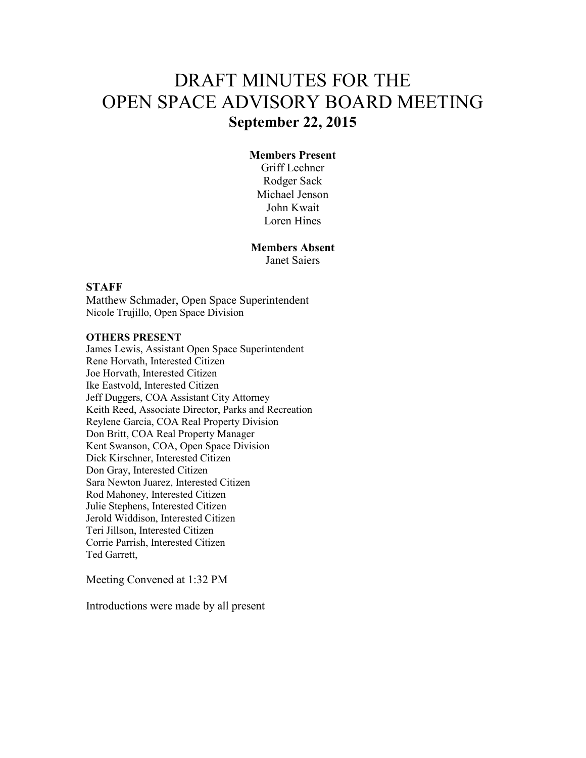# DRAFT MINUTES FOR THE OPEN SPACE ADVISORY BOARD MEETING **September 22, 2015**

## **Members Present**

Griff Lechner Rodger Sack Michael Jenson John Kwait Loren Hines

**Members Absent** 

Janet Saiers

#### **STAFF**

Matthew Schmader, Open Space Superintendent Nicole Trujillo, Open Space Division

#### **OTHERS PRESENT**

James Lewis, Assistant Open Space Superintendent Rene Horvath, Interested Citizen Joe Horvath, Interested Citizen Ike Eastvold, Interested Citizen Jeff Duggers, COA Assistant City Attorney Keith Reed, Associate Director, Parks and Recreation Reylene Garcia, COA Real Property Division Don Britt, COA Real Property Manager Kent Swanson, COA, Open Space Division Dick Kirschner, Interested Citizen Don Gray, Interested Citizen Sara Newton Juarez, Interested Citizen Rod Mahoney, Interested Citizen Julie Stephens, Interested Citizen Jerold Widdison, Interested Citizen Teri Jillson, Interested Citizen Corrie Parrish, Interested Citizen Ted Garrett,

Meeting Convened at 1:32 PM

Introductions were made by all present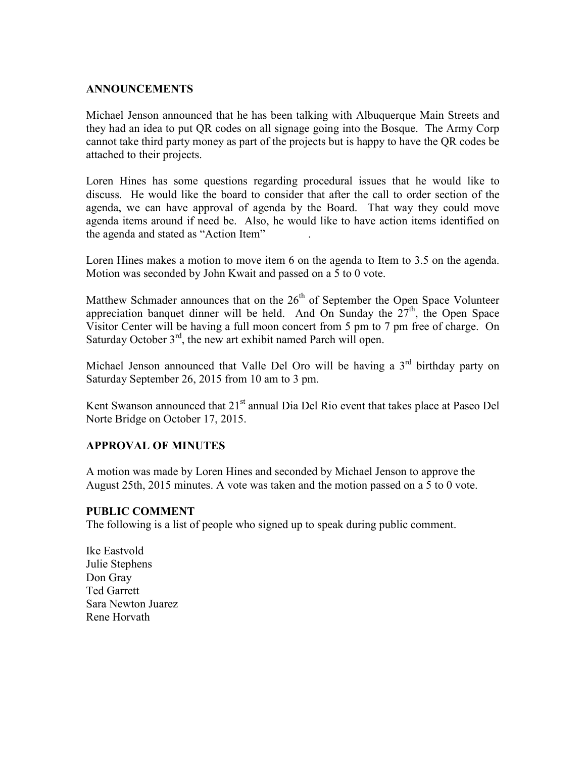## **ANNOUNCEMENTS**

Michael Jenson announced that he has been talking with Albuquerque Main Streets and they had an idea to put QR codes on all signage going into the Bosque. The Army Corp cannot take third party money as part of the projects but is happy to have the QR codes be attached to their projects.

Loren Hines has some questions regarding procedural issues that he would like to discuss. He would like the board to consider that after the call to order section of the agenda, we can have approval of agenda by the Board. That way they could move agenda items around if need be. Also, he would like to have action items identified on the agenda and stated as "Action Item" .

Loren Hines makes a motion to move item 6 on the agenda to Item to 3.5 on the agenda. Motion was seconded by John Kwait and passed on a 5 to 0 vote.

Matthew Schmader announces that on the  $26<sup>th</sup>$  of September the Open Space Volunteer appreciation banquet dinner will be held. And On Sunday the  $27<sup>th</sup>$ , the Open Space Visitor Center will be having a full moon concert from 5 pm to 7 pm free of charge. On Saturday October  $3<sup>rd</sup>$ , the new art exhibit named Parch will open.

Michael Jenson announced that Valle Del Oro will be having a 3<sup>rd</sup> birthday party on Saturday September 26, 2015 from 10 am to 3 pm.

Kent Swanson announced that  $21<sup>st</sup>$  annual Dia Del Rio event that takes place at Paseo Del Norte Bridge on October 17, 2015.

## **APPROVAL OF MINUTES**

A motion was made by Loren Hines and seconded by Michael Jenson to approve the August 25th, 2015 minutes. A vote was taken and the motion passed on a 5 to 0 vote.

#### **PUBLIC COMMENT**

The following is a list of people who signed up to speak during public comment.

Ike Eastvold Julie Stephens Don Gray Ted Garrett Sara Newton Juarez Rene Horvath